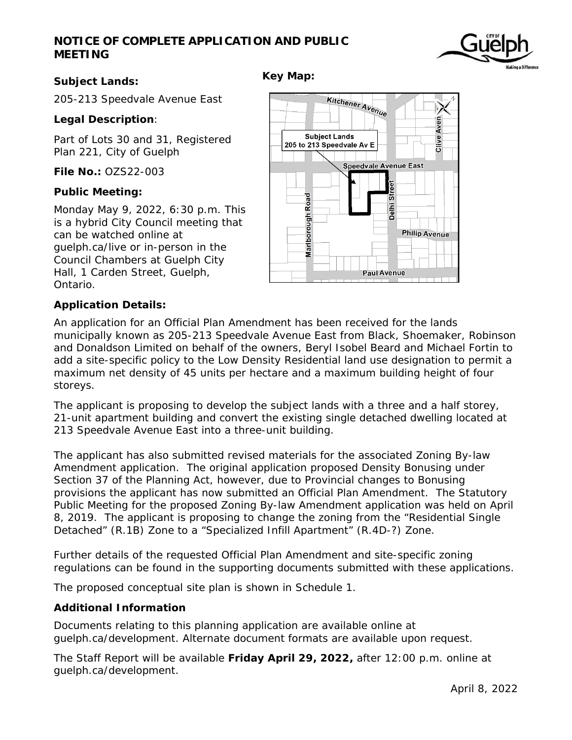# **NOTICE OF COMPLETE APPLICATION AND PUBLIC MEETING**



# **Subject Lands:**

205-213 Speedvale Avenue East

# **Legal Description**:

Part of Lots 30 and 31, Registered Plan 221, City of Guelph

**File No.:** OZS22-003

## **Public Meeting:**

Monday May 9, 2022, 6:30 p.m. This is a hybrid City Council meeting that can be watched online at guelph.ca/live or in-person in the Council Chambers at Guelph City Hall, 1 Carden Street, Guelph, Ontario.



# **Application Details:**

An application for an Official Plan Amendment has been received for the lands municipally known as 205-213 Speedvale Avenue East from Black, Shoemaker, Robinson and Donaldson Limited on behalf of the owners, Beryl Isobel Beard and Michael Fortin to add a site-specific policy to the Low Density Residential land use designation to permit a maximum net density of 45 units per hectare and a maximum building height of four storeys.

**Key Map:** 

The applicant is proposing to develop the subject lands with a three and a half storey, 21-unit apartment building and convert the existing single detached dwelling located at 213 Speedvale Avenue East into a three-unit building.

The applicant has also submitted revised materials for the associated Zoning By-law Amendment application. The original application proposed Density Bonusing under Section 37 of the Planning Act, however, due to Provincial changes to Bonusing provisions the applicant has now submitted an Official Plan Amendment. The Statutory Public Meeting for the proposed Zoning By-law Amendment application was held on April 8, 2019. The applicant is proposing to change the zoning from the "Residential Single Detached" (R.1B) Zone to a "Specialized Infill Apartment" (R.4D-?) Zone.

Further details of the requested Official Plan Amendment and site-specific zoning regulations can be found in the supporting documents submitted with these applications.

The proposed conceptual site plan is shown in Schedule 1.

## **Additional Information**

Documents relating to this planning application are available online at guelph.ca/development. Alternate document formats are available upon request.

The Staff Report will be available **Friday April 29, 2022,** after 12:00 p.m. online at guelph.ca/development.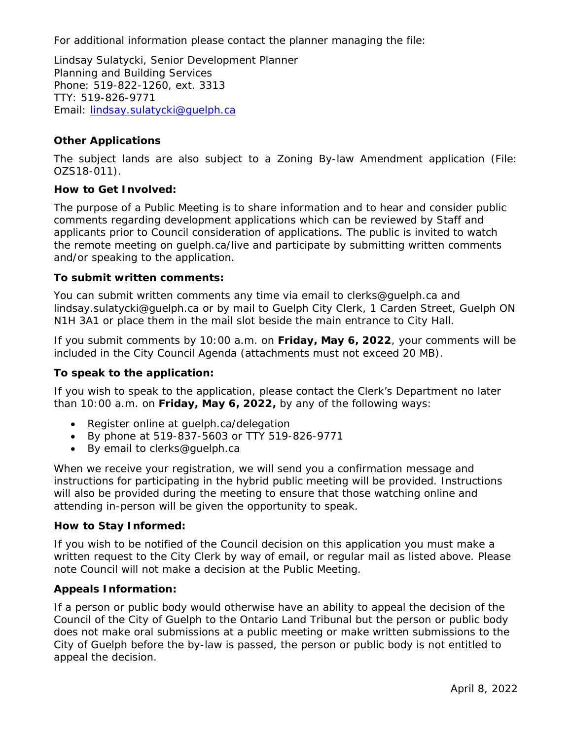For additional information please contact the planner managing the file:

Lindsay Sulatycki, Senior Development Planner Planning and Building Services Phone: 519-822-1260, ext. 3313 TTY: 519-826-9771 Email: lindsay.sulatycki@guelph.ca

# **Other Applications**

The subject lands are also subject to a Zoning By-law Amendment application (File: OZS18-011).

## **How to Get Involved:**

The purpose of a Public Meeting is to share information and to hear and consider public comments regarding development applications which can be reviewed by Staff and applicants prior to Council consideration of applications. The public is invited to watch the remote meeting on guelph.ca/live and participate by submitting written comments and/or speaking to the application.

#### **To submit written comments:**

You can submit written comments any time via email to clerks@guelph.ca and lindsay.sulatycki@guelph.ca or by mail to Guelph City Clerk, 1 Carden Street, Guelph ON N1H 3A1 or place them in the mail slot beside the main entrance to City Hall.

If you submit comments by 10:00 a.m. on **Friday, May 6, 2022**, your comments will be included in the City Council Agenda (attachments must not exceed 20 MB).

## **To speak to the application:**

If you wish to speak to the application, please contact the Clerk's Department no later than 10:00 a.m. on **Friday, May 6, 2022,** by any of the following ways:

- Register online at quelph.ca/delegation
- By phone at 519-837-5603 or TTY 519-826-9771
- By email to clerks@guelph.ca

When we receive your registration, we will send you a confirmation message and instructions for participating in the hybrid public meeting will be provided. Instructions will also be provided during the meeting to ensure that those watching online and attending in-person will be given the opportunity to speak.

## **How to Stay Informed:**

If you wish to be notified of the Council decision on this application you must make a written request to the City Clerk by way of email, or regular mail as listed above. Please note Council will not make a decision at the Public Meeting.

## **Appeals Information:**

If a person or public body would otherwise have an ability to appeal the decision of the Council of the City of Guelph to the Ontario Land Tribunal but the person or public body does not make oral submissions at a public meeting or make written submissions to the City of Guelph before the by-law is passed, the person or public body is not entitled to appeal the decision.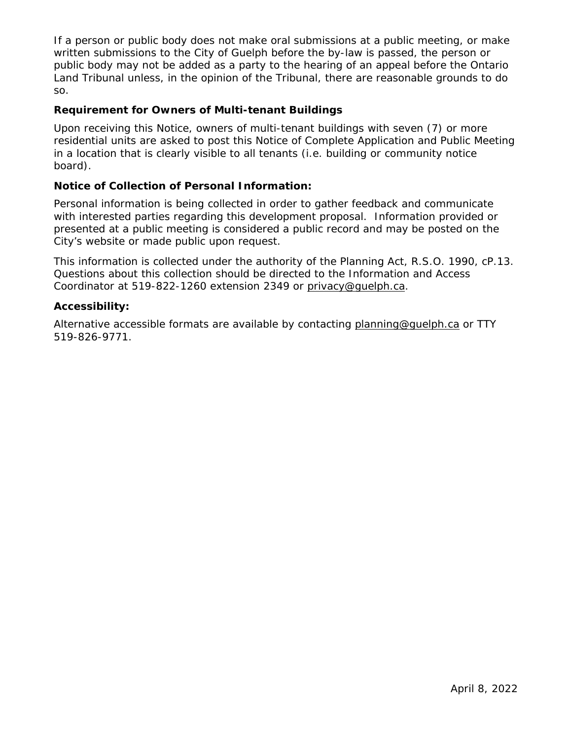If a person or public body does not make oral submissions at a public meeting, or make written submissions to the City of Guelph before the by-law is passed, the person or public body may not be added as a party to the hearing of an appeal before the Ontario Land Tribunal unless, in the opinion of the Tribunal, there are reasonable grounds to do so.

# **Requirement for Owners of Multi-tenant Buildings**

Upon receiving this Notice, owners of multi-tenant buildings with seven (7) or more residential units are asked to post this Notice of Complete Application and Public Meeting in a location that is clearly visible to all tenants (i.e. building or community notice board).

# **Notice of Collection of Personal Information:**

Personal information is being collected in order to gather feedback and communicate with interested parties regarding this development proposal. Information provided or presented at a public meeting is considered a public record and may be posted on the City's website or made public upon request.

This information is collected under the authority of the Planning Act, R.S.O. 1990, cP.13. Questions about this collection should be directed to the Information and Access Coordinator at 519-822-1260 extension 2349 or privacy@quelph.ca.

## **Accessibility:**

Alternative accessible formats are available by contacting planning@guelph.ca or TTY 519-826-9771.